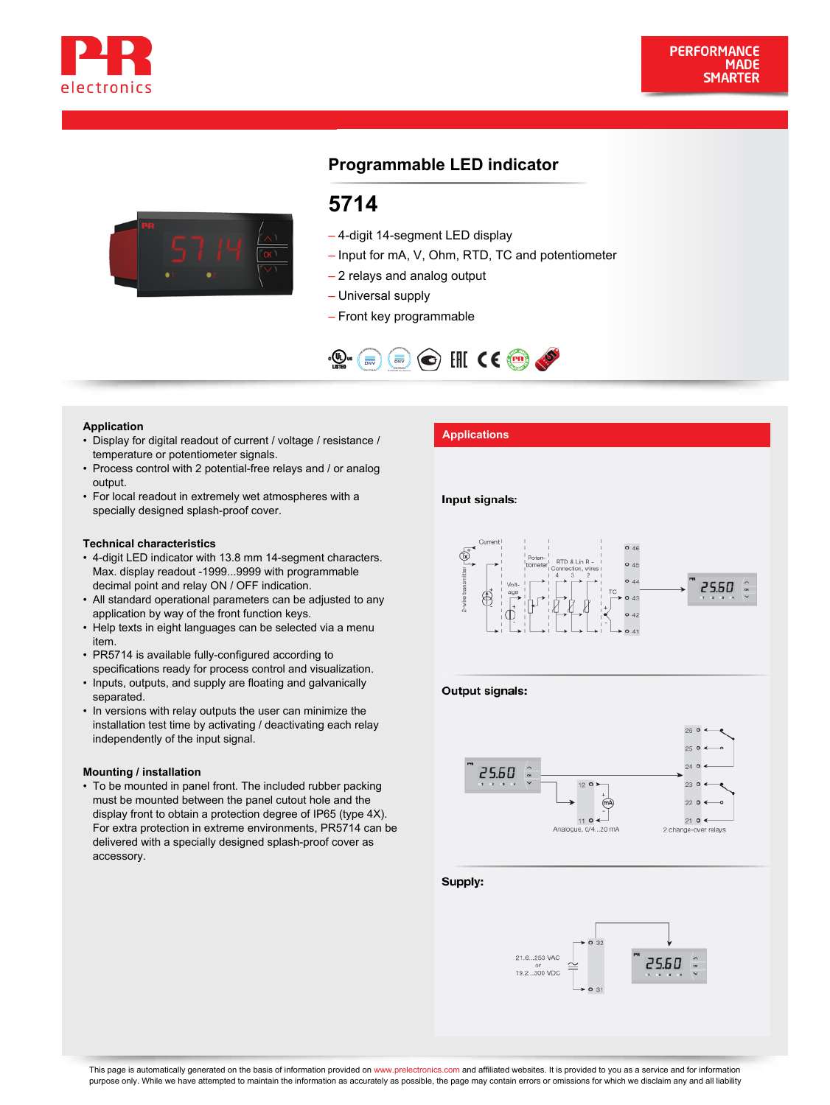



# **Programmable LED indicator**

# **5714**

- 4-digit 14-segment LED display
- Input for mA, V, Ohm, RTD, TC and potentiometer
- 2 relays and analog output
- Universal supply
- Front key programmable



- **Application**<br>• Display for digital readout of current / voltage / resistance / **Applications** temperature or potentiometer signals.
- Process control with 2 potential-free relays and / or analog output.
- For local readout in extremely wet atmospheres with a specially designed splash-proof cover.

#### **Technical characteristics**

- 4-digit LED indicator with 13.8 mm 14-segment characters. Max. display readout -1999...9999 with programmable decimal point and relay ON / OFF indication.
- All standard operational parameters can be adjusted to any application by way of the front function keys.
- Help texts in eight languages can be selected via a menu item.
- PR5714 is available fully-configured according to specifications ready for process control and visualization.
- Inputs, outputs, and supply are floating and galvanically separated.
- In versions with relay outputs the user can minimize the installation test time by activating / deactivating each relay independently of the input signal.

#### **Mounting / installation**

To be mounted in panel front. The included rubber packing • must be mounted between the panel cutout hole and the display front to obtain a protection degree of IP65 (type 4X). For extra protection in extreme environments, PR5714 can be delivered with a specially designed splash-proof cover as accessory.

#### Input signals:



#### Output signals:



Supply: